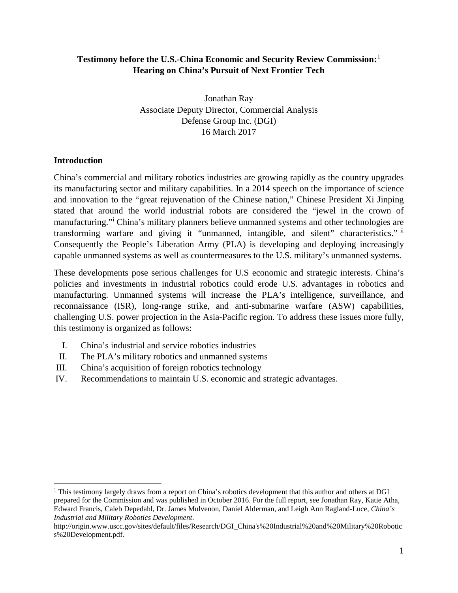### **Testimony before the U.S.-China Economic and Security Review Commission:**[1](#page-0-0) **Hearing on China's Pursuit of Next Frontier Tech**

Jonathan Ray Associate Deputy Director, Commercial Analysis Defense Group Inc. (DGI) 16 March 2017

#### **Introduction**

China's commercial and military robotics industries are growing rapidly as the country upgrades its manufacturing sector and military capabilities. In a 2014 speech on the importance of science and innovation to the "great rejuvenation of the Chinese nation," Chinese President Xi Jinping stated that around the world industrial robots are considered the "jewel in the crown of manufacturing."[i](#page-17-0) China's military planners believe unmanned systems and other technologies are transforming warfare and giving it "unmanned, intangible, and silent" characteristics." [ii](#page-17-1) Consequently the People's Liberation Army (PLA) is developing and deploying increasingly capable unmanned systems as well as countermeasures to the U.S. military's unmanned systems.

These developments pose serious challenges for U.S economic and strategic interests. China's policies and investments in industrial robotics could erode U.S. advantages in robotics and manufacturing. Unmanned systems will increase the PLA's intelligence, surveillance, and reconnaissance (ISR), long-range strike, and anti-submarine warfare (ASW) capabilities, challenging U.S. power projection in the Asia-Pacific region. To address these issues more fully, this testimony is organized as follows:

- I. China's industrial and service robotics industries
- II. The PLA's military robotics and unmanned systems
- III. China's acquisition of foreign robotics technology
- IV. Recommendations to maintain U.S. economic and strategic advantages.

<span id="page-0-0"></span><sup>&</sup>lt;sup>1</sup> This testimony largely draws from a report on China's robotics development that this author and others at DGI prepared for the Commission and was published in October 2016. For the full report, see Jonathan Ray, Katie Atha, Edward Francis, Caleb Depedahl, Dr. James Mulvenon, Daniel Alderman, and Leigh Ann Ragland-Luce, *China's Industrial and Military Robotics Development*.

http://origin.www.uscc.gov/sites/default/files/Research/DGI\_China's%20Industrial%20and%20Military%20Robotic s%20Development.pdf.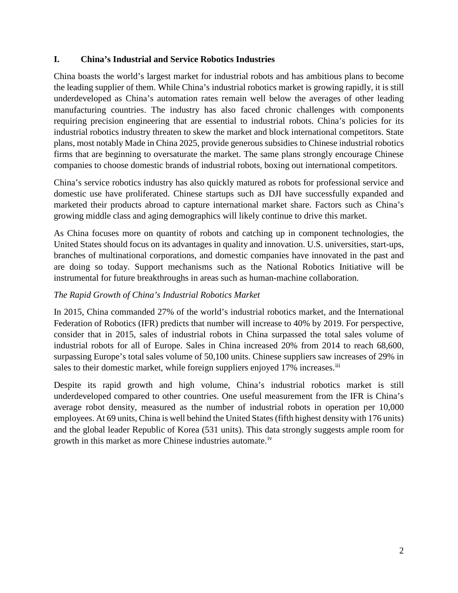### **I. China's Industrial and Service Robotics Industries**

China boasts the world's largest market for industrial robots and has ambitious plans to become the leading supplier of them. While China's industrial robotics market is growing rapidly, it is still underdeveloped as China's automation rates remain well below the averages of other leading manufacturing countries. The industry has also faced chronic challenges with components requiring precision engineering that are essential to industrial robots. China's policies for its industrial robotics industry threaten to skew the market and block international competitors. State plans, most notably Made in China 2025, provide generous subsidies to Chinese industrial robotics firms that are beginning to oversaturate the market. The same plans strongly encourage Chinese companies to choose domestic brands of industrial robots, boxing out international competitors.

China's service robotics industry has also quickly matured as robots for professional service and domestic use have proliferated. Chinese startups such as DJI have successfully expanded and marketed their products abroad to capture international market share. Factors such as China's growing middle class and aging demographics will likely continue to drive this market.

As China focuses more on quantity of robots and catching up in component technologies, the United States should focus on its advantages in quality and innovation. U.S. universities, start-ups, branches of multinational corporations, and domestic companies have innovated in the past and are doing so today. Support mechanisms such as the National Robotics Initiative will be instrumental for future breakthroughs in areas such as human-machine collaboration.

## *The Rapid Growth of China's Industrial Robotics Market*

In 2015, China commanded 27% of the world's industrial robotics market, and the International Federation of Robotics (IFR) predicts that number will increase to 40% by 2019. For perspective, consider that in 2015, sales of industrial robots in China surpassed the total sales volume of industrial robots for all of Europe. Sales in China increased 20% from 2014 to reach 68,600, surpassing Europe's total sales volume of 50,100 units. Chinese suppliers saw increases of 29% in sales to their domestic market, while foreign suppliers enjoyed 17% increases.<sup>[iii](#page-17-2)</sup>

Despite its rapid growth and high volume, China's industrial robotics market is still underdeveloped compared to other countries. One useful measurement from the IFR is China's average robot density, measured as the number of industrial robots in operation per 10,000 employees. At 69 units, China is well behind the United States (fifth highest density with 176 units) and the global leader Republic of Korea (531 units). This data strongly suggests ample room for growth in this market as more Chinese industries automate.<sup>[iv](#page-17-3)</sup>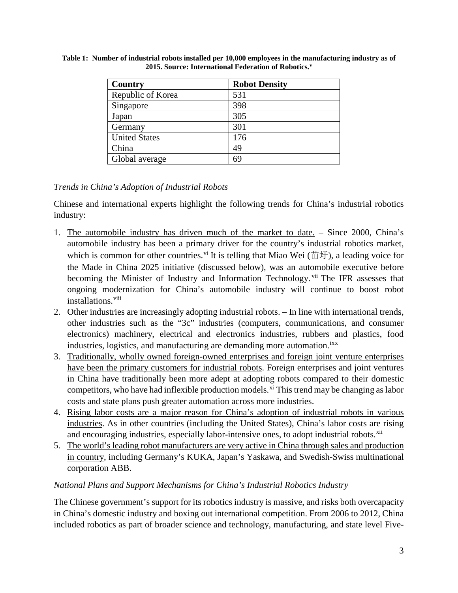| Country              | <b>Robot Density</b> |
|----------------------|----------------------|
| Republic of Korea    | 531                  |
| Singapore            | 398                  |
| Japan                | 305                  |
| Germany              | 301                  |
| <b>United States</b> | 176                  |
| China                | 49                   |
| Global average       | 69                   |

**Table 1: Number of industrial robots installed per 10,000 employees in the manufacturing industry as of 2015. Source: International Federation of Robotics.[v](#page-18-0)**

# *Trends in China's Adoption of Industrial Robots*

Chinese and international experts highlight the following trends for China's industrial robotics industry:

- 1. The automobile industry has driven much of the market to date. Since 2000, China's automobile industry has been a primary driver for the country's industrial robotics market, which is common for other countries.<sup>[vi](#page-18-1)</sup> It is telling that Miao Wei (苗圩), a leading voice for the Made in China 2025 initiative (discussed below), was an automobile executive before becoming the Minister of Industry and Information Technology. Vii The IFR assesses that ongoing modernization for China's automobile industry will continue to boost robot installations.<sup>[viii](#page-18-3)</sup>
- 2. Other industries are increasingly adopting industrial robots. In line with international trends, other industries such as the "3c" industries (computers, communications, and consumer electronics) machinery, electrical and electronics industries, rubbers and plastics, food industries, logistics, and manufacturing are demanding more automation. IXX
- 3. Traditionally, wholly owned foreign-owned enterprises and foreign joint venture enterprises have been the primary customers for industrial robots. Foreign enterprises and joint ventures in China have traditionally been more adept at adopting robots compared to their domestic competitors, who have had infle[xi](#page-18-6)ble production models.<sup>xi</sup> This trend may be changing as labor costs and state plans push greater automation across more industries.
- 4. Rising labor costs are a major reason for China's adoption of industrial robots in various industries. As in other countries (including the United States), China's labor costs are rising and encouraging industries, especially labor-intensive ones, to adopt industrial robots. [xii](#page-18-7)
- 5. The world's leading robot manufacturers are very active in China through sales and production in country, including Germany's KUKA, Japan's Yaskawa, and Swedish-Swiss multinational corporation ABB.

### *National Plans and Support Mechanisms for China's Industrial Robotics Industry*

The Chinese government's support for its robotics industry is massive, and risks both overcapacity in China's domestic industry and boxing out international competition. From 2006 to 2012, China included robotics as part of broader science and technology, manufacturing, and state level Five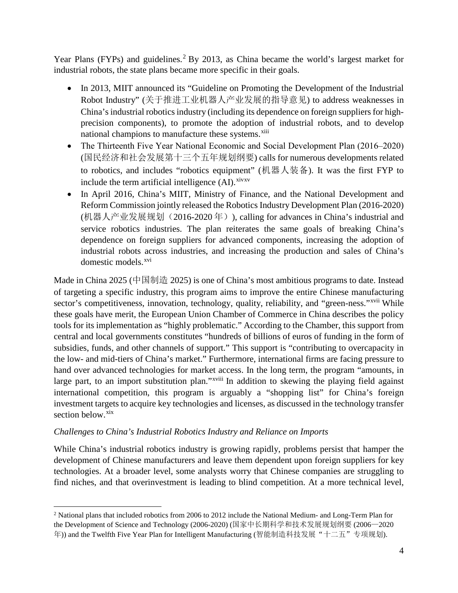Year Plans (FYPs) and guidelines.<sup>[2](#page-3-0)</sup> By 2013, as China became the world's largest market for industrial robots, the state plans became more specific in their goals.

- In 2013, MIIT announced its "Guideline on Promoting the Development of the Industrial Robot Industry" (关于推进工业机器人产业发展的指导意见) to address weaknesses in China's industrial robotics industry (including its dependence on foreign suppliers for highprecision components), to promote the adoption of industrial robots, and to develop national champions to manufacture these systems.<sup>[xiii](#page-19-0)</sup>
- The Thirteenth Five Year National Economic and Social Development Plan (2016–2020) (国民经济和社会发展第十三个五年规划纲要) calls for numerous developments related to robotics, and includes "robotics equipment" (机器人装备). It was the first FYP to include the term artificial intelligence  $(AI)$ .  $xivxv$  $xivxv$
- In April 2016, China's MIIT, Ministry of Finance, and the National Development and Reform Commission jointly released the Robotics Industry Development Plan (2016-2020) (机器人产业发展规划(2016-2020 年)), calling for advances in China's industrial and service robotics industries. The plan reiterates the same goals of breaking China's dependence on foreign suppliers for advanced components, increasing the adoption of industrial robots across industries, and increasing the production and sales of China's domestic models.<sup>[xvi](#page-19-3)</sup>

Made in China 2025 (中国制造 2025) is one of China's most ambitious programs to date. Instead of targeting a specific industry, this program aims to improve the entire Chinese manufacturing sector's competitiveness, innovation, technology, quality, reliability, and "green-ness."<sup>[xvii](#page-19-4)</sup> While large part, to an import substitution plan." <sup>xviii</sup> In addition to skewing the playing field against these goals have merit, the European Union Chamber of Commerce in China describes the policy tools for its implementation as "highly problematic." According to the Chamber, this support from central and local governments constitutes "hundreds of billions of euros of funding in the form of subsidies, funds, and other channels of support." This support is "contributing to overcapacity in the low- and mid-tiers of China's market." Furthermore, international firms are facing pressure to hand over advanced technologies for market a[c](#page-19-5)cess. In the long term, the program "amounts, in international competition, this program is arguably a "shopping list" for China's foreign investment targets to acquire key technologies and licenses, as discussed in the technology transfer section below.<sup>[xix](#page-19-6)</sup>

# *Challenges to China's Industrial Robotics Industry and Reliance on Imports*

While China's industrial robotics industry is growing rapidly, problems persist that hamper the development of Chinese manufacturers and leave them dependent upon foreign suppliers for key technologies. At a broader level, some analysts worry that Chinese companies are struggling to find niches, and that overinvestment is leading to blind competition. At a more technical level,

<span id="page-3-0"></span> <sup>2</sup> National plans that included robotics from 2006 to 2012 include the National Medium- and Long-Term Plan for the Development of Science and Technology (2006-2020) (国家中长期科学和技术发展规划纲要 (2006—2020 年)) and the Twelfth Five Year Plan for Intelligent Manufacturing (智能制造科技发展"十二五"专项规划).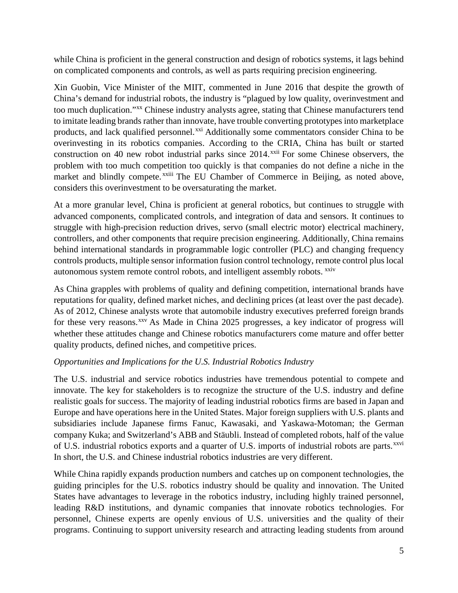while China is proficient in the general construction and design of robotics systems, it lags behind on complicated components and controls, as well as parts requiring precision engineering.

Xin Guobin, Vice Minister of the MIIT, commented in June 2016 that despite the growth of China's demand for industrial robots, the industry is "plagued by low quality, overinvestment and too much duplication."<sup>[xx](#page-20-0)</sup> Chinese industry analysts agree, stating that Chinese manufacturers tend market and blindly compete. XXIII [T](#page-20-3)he EU Chamber of Commerce in Beijing, as noted above, to imitate leading brands rather than innovate, have trouble converting prototypes into marketplace products, and lack qualified personnel.<sup>[xxi](#page-20-1)</sup> Additionally some commentators consider China to be overinvesting in its robotics companies. According to the CRIA, China has built or started construction on 40 new robot industrial parks since  $2014$ <sup>[xxii](#page-20-2)</sup> For some Chinese observers, the problem with too much competition too quickly is that companies do not define a niche in the considers this overinvestment to be oversaturating the market.

At a more granular level, China is proficient at general robotics, but continues to struggle with advanced components, complicated controls, and integration of data and sensors. It continues to struggle with high-precision reduction drives, servo (small electric motor) electrical machinery, controllers, and other components that require precision engineering. Additionally, China remains behind international standards in programmable logic controller (PLC) and changing frequency controls products, multiple sensor information fusion control technology, remote control plus local autonomous system remote control robots, and intelligent assembly robots. [xxiv](#page-20-4)

As China grapples with problems of quality and defining competition, international brands have reputations for quality, defined market niches, and declining prices (at least over the past decade). As of 2012, Chinese analysts wrote that automobile industry executives preferred foreign brands for these very reasons.<sup>[xxv](#page-20-5)</sup> As Made in China 2025 progresses, a key indicator of progress will whether these attitudes change and Chinese robotics manufacturers come mature and offer better quality products, defined niches, and competitive prices.

# *Opportunities and Implications for the U.S. Industrial Robotics Industry*

The U.S. industrial and service robotics industries have tremendous potential to compete and innovate. The key for stakeholders is to recognize the structure of the U.S. industry and define realistic goals for success. The majority of leading industrial robotics firms are based in Japan and Europe and have operations here in the United States. Major foreign suppliers with U.S. plants and subsidiaries include Japanese firms Fanuc, Kawasaki, and Yaskawa-Motoman; the German company Kuka; and Switzerland's ABB and Stäubli. Instead of completed robots, half of the value of U.S. industrial robotics exports and a quarter of U.S. imports of industrial robots are parts.<sup>[xxvi](#page-20-6)</sup> In short, the U.S. and Chinese industrial robotics industries are very different.

While China rapidly expands production numbers and catches up on component technologies, the guiding principles for the U.S. robotics industry should be quality and innovation. The United States have advantages to leverage in the robotics industry, including highly trained personnel, leading R&D institutions, and dynamic companies that innovate robotics technologies. For personnel, Chinese experts are openly envious of U.S. universities and the quality of their programs. Continuing to support university research and attracting leading students from around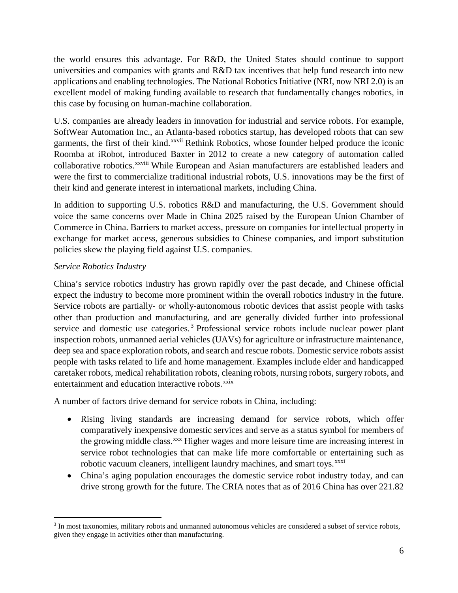the world ensures this advantage. For R&D, the United States should continue to support universities and companies with grants and R&D tax incentives that help fund research into new applications and enabling technologies. The National Robotics Initiative (NRI, now NRI 2.0) is an excellent model of making funding available to research that fundamentally changes robotics, in this case by focusing on human-machine collaboration.

U.S. companies are already leaders in innovation for industrial and service robots. For example, SoftWear Automation Inc., an Atlanta-based robotics startup, has developed robots that can sew garments, the first of their kind.<sup>xxvii</sup> [R](#page-21-0)ethink Robotics, whose founder helped produce the iconic collaborat[i](#page-21-1)ve robotics. XXViii While European and Asian manufacturers are established leaders and Roomba at iRobot, introduced Baxter in 2012 to create a new category of automation called were the first to commercialize traditional industrial robots, U.S. innovations may be the first of their kind and generate interest in international markets, including China.

In addition to supporting U.S. robotics R&D and manufacturing, the U.S. Government should voice the same concerns over Made in China 2025 raised by the European Union Chamber of Commerce in China. Barriers to market access, pressure on companies for intellectual property in exchange for market access, generous subsidies to Chinese companies, and import substitution policies skew the playing field against U.S. companies.

# *Service Robotics Industry*

China's service robotics industry has grown rapidly over the past decade, and Chinese official expect the industry to become more prominent within the overall robotics industry in the future. Service robots are partially- or wholly-autonomous robotic devices that assist people with tasks other than production and manufacturing, and are generally divided further into professional service and domestic use categories.<sup>[3](#page-5-0)</sup> Professional service robots include nuclear power plant inspection robots, unmanned aerial vehicles (UAVs) for agriculture or infrastructure maintenance, deep sea and space exploration robots, and search and rescue robots. Domestic service robots assist people with tasks related to life and home management. Examples include elder and handicapped caretaker robots, medical rehabilitation robots, cleaning robots, nursing robots, surgery robots, and entertainment and education interactive robots.<sup>[xxix](#page-21-2)</sup>

A number of factors drive demand for service robots in China, including:

- Rising living standards are increasing demand for service robots, which offer comparatively inexpensive domestic services and serve as a status symbol for members of the growing middle class.<sup>[xxx](#page-21-3)</sup> Higher wages and more leisure time are increasing interest in service robot technologies that can make life more comfortable or entertaining such as robotic vacuum cleaners, intelligent laundry machines, and smart toys.<sup>[xxxi](#page-21-4)</sup>
- China's aging population encourages the domestic service robot industry today, and can drive strong growth for the future. The CRIA notes that as of 2016 China has over 221.82

<span id="page-5-0"></span><sup>&</sup>lt;sup>3</sup> In most taxonomies, military robots and unmanned autonomous vehicles are considered a subset of service robots, given they engage in activities other than manufacturing.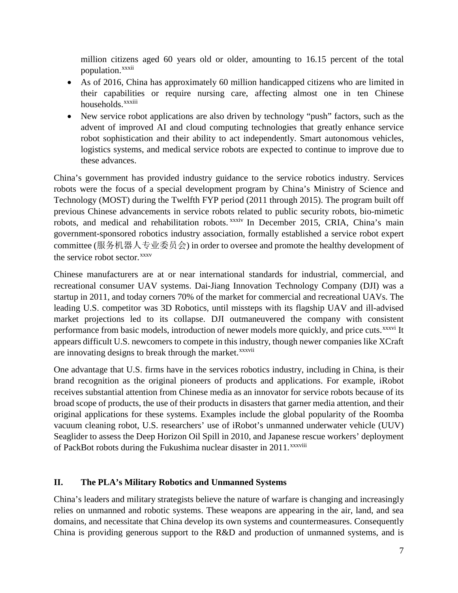million citizens aged 60 years old or older, amounting to 16.15 percent of the total populat[i](#page-22-0)on.<sup>xxxii</sup>

- As of 2016, China has approximately 60 million handicapped citizens who are limited in their capabilities or require nursing care, affecting almost one in ten Chinese households.<sup>xxx[i](#page-22-1)ii</sup>
- New service robot applications are also driven by technology "push" factors, such as the advent of improved AI and cloud computing technologies that greatly enhance service robot sophistication and their ability to act independently. Smart autonomous vehicles, logistics systems, and medical service robots are expected to continue to improve due to these advances.

China's government has provided industry guidance to the service robotics industry. Services robots were the focus of a special development program by China's Ministry of Science and Technology (MOST) during the Twelfth FYP period (2011 through 2015). The program built off previous Chinese advancements in service robots r[el](#page-22-2)ated to public security robots, bio-mimetic robots, and medical and rehabilitation robots. xxxiv In December 2015, CRIA, China's main government-sponsored robotics industry association, formally established a service robot expert committee (服务机器人专业委员会) in order to oversee and promote the healthy development of the service robot sector.<sup>[xxxv](#page-22-3)</sup>

Chinese manufacturers are at or near international standards for industrial, commercial, and recreational consumer UAV systems. Dai-Jiang Innovation Technology Company (DJI) was a startup in 2011, and today corners 70% of the market for commercial and recreational UAVs. The leading U.S. competitor was 3D Robotics, until missteps with its flagship UAV and ill-advised market projections led to its collapse. DJI outmaneuvered the company with consistent performance from basic models, introduction of newer models more quickly, and price cuts. XXXVi [I](#page-22-4)t are [i](#page-22-5)nnovating designs to break through the market. XXXVII appears difficult U.S. newcomers to compete in this industry, though newer companies like XCraft

One advantage that U.S. firms have in the services robotics industry, including in China, is their brand recognition as the original pioneers of products and applications. For example, iRobot receives substantial attention from Chinese media as an innovator for service robots because of its broad scope of products, the use of their products in disasters that garner media attention, and their original applications for these systems. Examples include the global popularity of the Roomba vacuum cleaning robot, U.S. researchers' use of iRobot's unmanned underwater vehicle (UUV) Seaglider to assess the Deep Horizon Oil Spill in 2010, and Japanese rescue workers' deployment of PackBot robots during the Fukushima nuclear disaster in 2011.<sup>xxxviii</sup>

### **II. The PLA's Military Robotics and Unmanned Systems**

China's leaders and military strategists believe the nature of warfare is changing and increasingly relies on unmanned and robotic systems. These weapons are appearing in the air, land, and sea domains, and necessitate that China develop its own systems and countermeasures. Consequently China is providing generous support to the R&D and production of unmanned systems, and is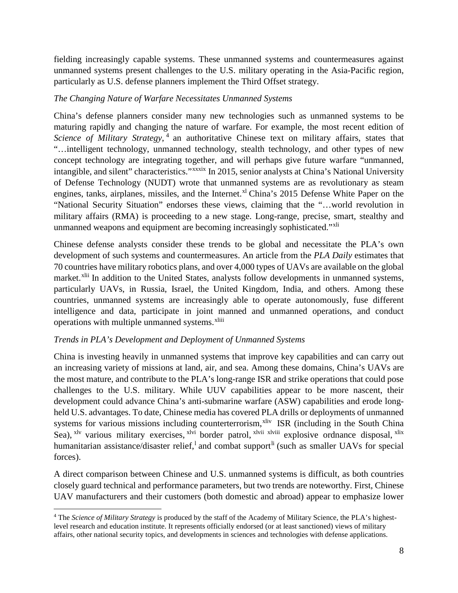fielding increasingly capable systems. These unmanned systems and countermeasures against unmanned systems present challenges to the U.S. military operating in the Asia-Pacific region, particularly as U.S. defense planners implement the Third Offset strategy.

#### *The Changing Nature of Warfare Necessitates Unmanned Systems*

China's defense planners consider many new technologies such as unmanned systems to be maturing rapidly and changing the nature of warfare. For example, the most recent edition of Science of Military Strategy,<sup>[4](#page-7-0)</sup> an authoritative Chinese text on military affairs, states that intangible, and silent" characteristics." [x](#page-22-6)xxxix In 2015, senior analysts at China's National University "…intelligent technology, unmanned technology, stealth technology, and other types of new concept technology are integrating together, and will perhaps give future warfare "unmanned, of Defense Technology (NUDT) wrote that unmanned systems are as revolutionary as steam engines, tanks, airplanes, missiles, and the Internet.<sup>[xl](#page-22-7)</sup> China's 2015 Defense White Paper on the "National Security Situation" endorses these views, claiming that the "…world revolution in military affairs (RMA) is proceeding to a new stage. Long-range, precise, smart, stealthy and unmanned weapons and equipment are becoming increasingly sophisticated."<sup>[xli](#page-22-8)</sup>

Chinese defense analysts consider these trends to be global and necessitate the PLA's own development of such systems and countermeasures. An article from the *PLA Daily* estimates that 70 countries have military robotics plans, and over 4,000 types of UAVs are available on the global market.<sup>[xlii](#page-22-9)</sup> In addition to the United States, analysts follow developments in unmanned systems, operations with multiple unmanned systems.<sup>xliii</sup> particularly UAVs, in Russia, Israel, the United Kingdom, India, and others. Among these countries, unmanned systems are increasingly able to operate autonomously, fuse different intelligence and data, participate in joint [ma](#page-22-10)nned and unmanned operations, and conduct

#### *Trends in PLA's Development and Deployment of Unmanned Systems*

China is investing heavily in unmanned systems that improve key capabilities and can carry out an increasing variety of missions at land, air, and sea. Among these domains, China's UAVs are the most mature, and contribute to the PLA's long-range ISR and strike operations that could pose challenges to the U.S. military. While UUV capabilities appear to be more nascent, their development could advance China's anti-submarine warfare (ASW) capabilities and erode longheld U.S. advantages. To date, Chinese media has covered PLA drills or deployments of unmanned systems for various missions including counterterrorism,<sup>[xliv](#page-22-11)</sup> ISR (including in the South China Sea), <sup>[xlv](#page-22-12)</sup> various military exercises, <sup>[xlvi](#page-22-13)</sup> bord[e](#page-22-14)r patrol, <sup>xlvii xlviii</sup> explosive ordnance disposal, <sup>[xlix](#page-22-15)</sup> humanitarian assistance/disaster re[l](#page-22-16)ief,<sup>1</sup> and combat support<sup>[li](#page-22-17)</sup> (such as smaller UAVs for special forces).

A direct comparison between Chinese and U.S. unmanned systems is difficult, as both countries closely guard technical and performance parameters, but two trends are noteworthy. First, Chinese UAV manufacturers and their customers (both domestic and abroad) appear to emphasize lower

<span id="page-7-0"></span> <sup>4</sup> The *Science of Military Strategy* is produced by the staff of the Academy of Military Science, the PLA's highestlevel research and education institute. It represents officially endorsed (or at least sanctioned) views of military affairs, other national security topics, and developments in sciences and technologies with defense applications.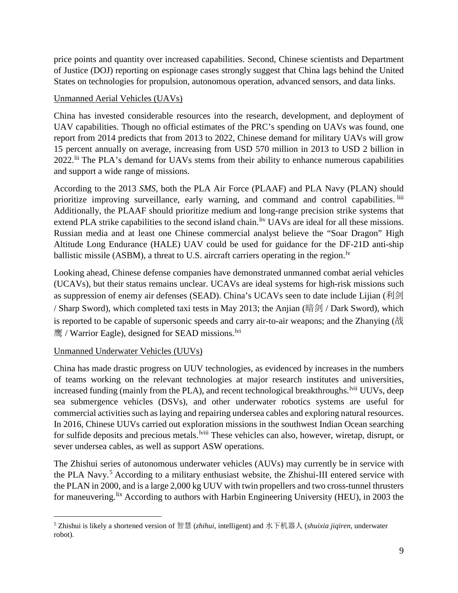price points and quantity over increased capabilities. Second, Chinese scientists and Department of Justice (DOJ) reporting on espionage cases strongly suggest that China lags behind the United States on technologies for propulsion, autonomous operation, advanced sensors, and data links.

### Unmanned Aerial Vehicles (UAVs)

China has invested considerable resources into the research, development, and deployment of UAV capabilities. Though no official estimates of the PRC's spending on UAVs was found, one report from 2014 predicts that from 2013 to 2022, Chinese demand for military UAVs will grow 15 percent annually on average, increasing from USD 570 million in 2013 to USD 2 billion in 2022.<sup>[lii](#page-22-18)</sup> The PLA's demand for UAVs stems from their ability to enhance numerous capabilities and support a wide range of missions.

According to the 2013 *SMS*, both the PLA Air Force (PLAAF) and PLA Navy (PLAN) should prioritize improving surveillance, early warning, and command and control capabilities. <sup>[liii](#page-22-19)</sup> Additionally, the PLAAF should prioritize medium and long-range precision strike systems that extend PLA strike capabilities to the second island chain.<sup>[liv](#page-22-20)</sup> UAVs are ideal for all these missions. Russian media and at least one Chinese commercial analyst believe the "Soar Dragon" High Altitude Long Endurance (HALE) UAV could be used for guidance for the DF-21D anti-ship ballistic missile (ASBM), a threat to U.S. aircraft carriers operating in the region.<sup>1v</sup>

Looking ahead, Chinese defense companies have demonstrated unmanned combat aerial vehicles (UCAVs), but their status remains unclear. UCAVs are ideal systems for high-risk missions such as suppression of enemy air defenses (SEAD). China's UCAVs seen to date include Lijian (利剑 / Sharp Sword), which completed taxi tests in May 2013; the Anjian (暗剑 / Dark Sword), which is reported to be capable of supersonic speeds and carry air-to-air weapons; and the Zhanying  $(\ddot{\mathbb{R}})$ 鹰 / Warrior Eagle), designed for SEAD missions.<sup>[lvi](#page-22-22)</sup>

### Unmanned Underwater Vehicles (UUVs)

China has made drastic progress on UUV technologies, as evidenced by increases in the numbers of teams working on the relevant technologies at major research institutes and universities, increased funding (mainly from the PLA), and recent technological breakthroughs. <sup>Ivii</sup> UUVs, deep for sulf[i](#page-22-24)de deposits and precious metals. <sup>Iviii</sup> These vehicles can also, however, wiretap, disrupt, or sea submergence vehicles (DSVs), and other underwater robotics systems are useful for commercial activities such as laying and repairing undersea cables and exploring natural resources. In 2016, Chinese UUVs carried out exploration missions in the southwest Indian Ocean searching sever undersea cables, as well as support ASW operations.

The Zhishui series of autonomous underwater vehicles (AUVs) may currently be in service with the PLA Navy.<sup>[5](#page-8-0)</sup> According to a military enthusiast website, the Zhishui-III entered service with the PLAN in 2000, and is a large 2,000 kg UUV with twin propellers and two cross-tunnel thrusters for maneuvering.<sup>[lix](#page-22-25)</sup> According to authors with Harbin Engineering University (HEU), in 2003 the

<span id="page-8-0"></span> <sup>5</sup> Zhishui is likely a shortened version of 智慧 (*zhihui*, intelligent) and 水下机器人 (*shuixia jiqiren*, underwater robot).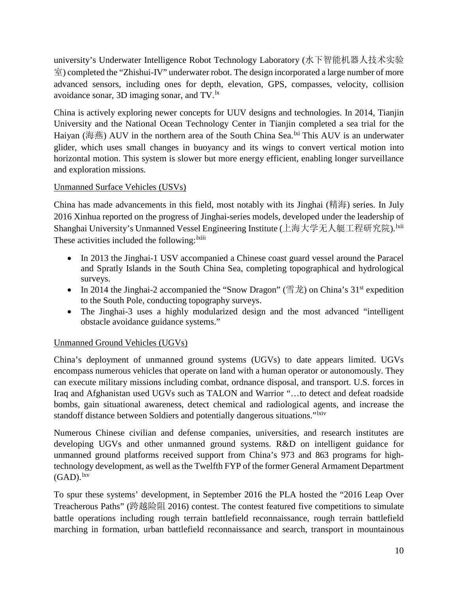university's Underwater Intelligence Robot Technology Laboratory (水下智能机器人技术实验 室) completed the "Zhishui-IV" underwater robot. The design incorporated a large number of more advanced sensors, including ones for depth, elevation, GPS, compasses, velocity, collision avoidance sonar, 3D imaging sonar, and TV.<sup>1x</sup>

China is actively exploring newer concepts for UUV designs and technologies. In 2014, Tianjin University and the National Ocean Technology Center in Tianjin completed a sea trial for the Haiyan (海燕) AUV in the northern area of the South China Sea.  $\frac{1}{x}$  This AUV is an underwater glider, which uses small changes in buoyancy and its wings to convert vertical motion into horizontal motion. This system is slower but more energy efficient, enabling longer surveillance and exploration missions.

# Unmanned Surface Vehicles (USVs)

China has made advancements in this field, most notably with its Jinghai (精海) series. In July 2016 Xinhua reported on the progress of Jinghai-series models, developed under the leadership of Shanghai University's Unmanned Vessel Engineering Institute (上海大学无人艇工程研究院). <sup>Ixii</sup> These act[i](#page-22-29)vities included the following: <sup>lxiii</sup>

- In 2013 the Jinghai-1 USV accompanied a Chinese coast guard vessel around the Paracel and Spratly Islands in the South China Sea, completing topographical and hydrological surveys.
- In 2014 the Jinghai-2 accompanied the "Snow Dragon" ( $\equiv \pm \hat{E}$ ) on China's 31<sup>st</sup> expedition to the South Pole, conducting topography surveys.
- The Jinghai-3 uses a highly modularized design and the most advanced "intelligent" obstacle avoidance guidance systems."

# Unmanned Ground Vehicles (UGVs)

China's deployment of unmanned ground systems (UGVs) to date appears limited. UGVs encompass numerous vehicles that operate on land with a human operator or autonomously. They can execute military missions including combat, ordnance disposal, and transport. U.S. forces in Iraq and Afghanistan used UGVs such as TALON and Warrior "…to detect and defeat roadside bombs, gain situational awareness, detect chemical and radiological agents, and increase the standoff distance between Soldiers and potentially dangerous situations."<sup>1xiv</sup>

Numerous Chinese civilian and defense companies, universities, and research institutes are developing UGVs and other unmanned ground systems. R&D on intelligent guidance for unmanned ground platforms received support from China's 973 and 863 programs for hightechnology development, as well as the Twelfth FYP of the former General Armament Department  $(GAD).<sup>lxv</sup>$  $(GAD).<sup>lxv</sup>$  $(GAD).<sup>lxv</sup>$ 

To spur these systems' development, in September 2016 the PLA hosted the "2016 Leap Over Treacherous Paths" (跨越险阻 2016) contest. The contest featured five competitions to simulate battle operations including rough terrain battlefield reconnaissance, rough terrain battlefield marching in formation, urban battlefield reconnaissance and search, transport in mountainous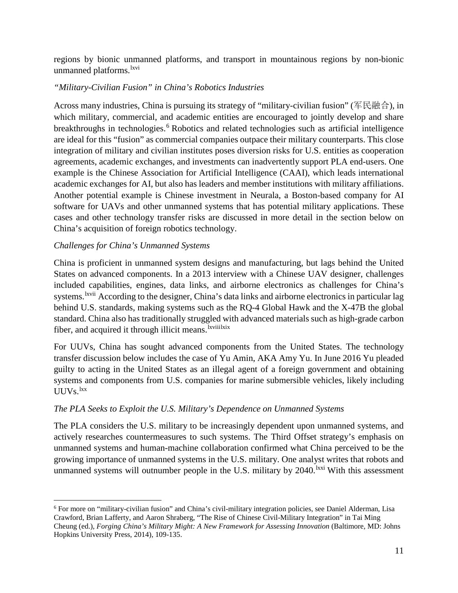regions by bionic unmanned platforms, and transport in mountainous regions by non-bionic unmanned platforms.<sup>[lxvi](#page-22-32)</sup>

### *"Military-Civilian Fusion" in China's Robotics Industries*

Across many industries, China is pursuing its strategy of "military-civilian fusion" (军民融合), in which military, commercial, and academic entities are encouraged to jointly develop and share breakthroughs in technologies.<sup>[6](#page-10-0)</sup> Robotics and related technologies such as artificial intelligence are ideal for this "fusion" as commercial companies outpace their military counterparts. This close integration of military and civilian institutes poses diversion risks for U.S. entities as cooperation agreements, academic exchanges, and investments can inadvertently support PLA end-users. One example is the Chinese Association for Artificial Intelligence (CAAI), which leads international academic exchanges for AI, but also has leaders and member institutions with military affiliations. Another potential example is Chinese investment in Neurala, a Boston-based company for AI software for UAVs and other unmanned systems that has potential military applications. These cases and other technology transfer risks are discussed in more detail in the section below on China's acquisition of foreign robotics technology.

### *Challenges for China's Unmanned Systems*

China is proficient in unmanned system designs and manufacturing, but lags behind the United States on advanced components. In a 2013 interview with a Chinese UAV designer, challenges included capabilities, engines, data links, and airborne electronics as challenges for China's systems. <sup>Ixv[i](#page-22-33)i</sup> According to the designer, China's data links and airborne electronics in particular lag fiber, and acquired it through illicit means. Ixviii[lxix](#page-22-34) behind U.S. standards, making systems such as the RQ-4 Global Hawk and the X-47B the global standard. China also has traditionally struggled with advanced materials such as high-grade carbon

For UUVs, China has sought advanced components from the United States. The technology transfer discussion below includes the case of Yu Amin, AKA Amy Yu. In June 2016 Yu pleaded guilty to acting in the United States as an illegal agent of a foreign government and obtaining systems and components from U.S. companies for marine submersible vehicles, likely including  $UUVS.$ <sup>[lxx](#page-22-35)</sup>

### *The PLA Seeks to Exploit the U.S. Military's Dependence on Unmanned Systems*

The PLA considers the U.S. military to be increasingly dependent upon unmanned systems, and actively researches countermeasures to such systems. The Third Offset strategy's emphasis on unmanned systems and human-machine collaboration confirmed what China perceived to be the growing importance of unmanned systems in the U.S. military. One analyst writes that robots and unmanned systems will outnumber people in the U.S. military by  $2040$ .<sup>[lxxi](#page-22-36)</sup> With this assessment

<span id="page-10-0"></span> <sup>6</sup> For more on "military-civilian fusion" and China's civil-military integration policies, see Daniel Alderman, Lisa Crawford, Brian Lafferty, and Aaron Shraberg, "The Rise of Chinese Civil-Military Integration" in Tai Ming Cheung (ed.), *Forging China's Military Might: A New Framework for Assessing Innovation* (Baltimore, MD: Johns Hopkins University Press, 2014), 109-135.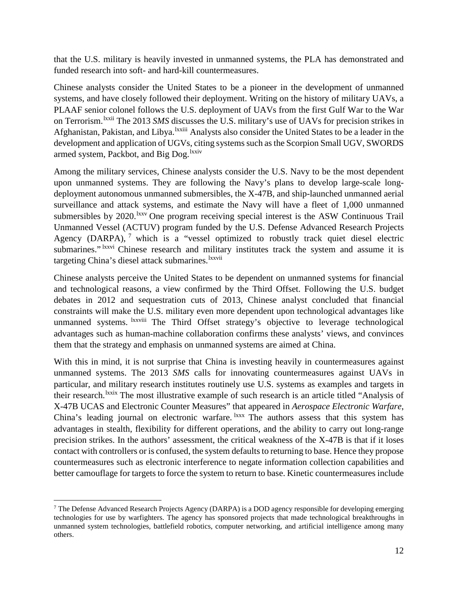that the U.S. military is heavily invested in unmanned systems, the PLA has demonstrated and funded research into soft- and hard-kill countermeasures.

Chinese analysts consider the United States to be a pioneer in the development of unmanned systems, and have closely followed their deployment. Writing on the history of military UAVs, a PLAAF senior c[o](#page-22-37)lonel follows the U.S. deployment of UAVs from the first Gulf War to the War on Terrorism. <sup>Ixxii</sup> The 2013 SMS discusses the U.S. military's use of UAVs for precision strikes in [A](#page-22-38)fghanistan, Pakistan, and Libya. <sup>Ixxiii</sup> Analysts also consider the United States to be a leader in the armed system, Packbot, and Big Dog. <sup>lxxi[v](#page-22-39)</sup> development and application of UGVs, citing systems such as the Scorpion Small UGV, SWORDS

Among the military services, Chinese analysts consider the U.S. Navy to be the most dependent upon unmanned systems. They are following the Navy's plans to develop large-scale longdeployment autonomous unmanned submersibles, the X-47B, and ship-launched unmanned aerial surveillance and attack systems, and estimate the Navy will have a fleet of 1,000 unmanned submersibles by 2020.<sup>1xxv</sup> One program receiving special interest is the ASW Continuous Trail submarines." Ixxvi [C](#page-22-41)hinese research and military institutes track the system and assume it is target[i](#page-22-8)ng China's diesel attack submarines. Ixxvii Unmanned Vessel (ACTUV) program funded by the U.S. Defense Advanced Research Projects Agency (DARPA),  $<sup>7</sup>$  $<sup>7</sup>$  $<sup>7</sup>$  which is a "vessel optimized to robustly track quiet diesel electric</sup>

Chinese analysts perceive the United States to be dependent on unmanned systems for financial and technological reasons, a view confirmed by the Third Offset. Following the U.S. budget debates in 2012 and sequestration cuts of 2013, Chinese analyst concluded that financial constraints will make the U.S. military even more dependent upon technological advantages like unmanned systems. <sup>Ixxviii</sup> [T](#page-22-42)he Third Offset strategy's objective to leverage technological advantages such as human-machine collaboration confirms these analysts' views, and convinces them that the strategy and emphasis on unmanned systems are aimed at China.

With this in mind, it is not surprise that China is investing heavily in countermeasures against unmanned systems. The 2013 *SMS* calls for innovating countermeasures against UAVs in particular, and military research institutes routinely use U.S. systems as examples and targets in their research.<sup>l[x](#page-22-43)xix</sup> The most illustrative example of such research is an article titled "Analysis of X-47B UCAS and Electronic Counter Measures" that appeared in *Aerospace Electronic Warfare*, China's leading journal on electronic warfare. <sup>1xxx</sup> The authors assess that this system has advantages in stealth, flexibility for different operations, and the ability to carry out long-range precision strikes. In the authors' assessment, the critical weakness of the X-47B is that if it loses contact with controllers or is confused, the system defaults to returning to base. Hence they propose countermeasures such as electronic interference to negate information collection capabilities and better camouflage for targets to force the system to return to base. Kinetic countermeasures include

<span id="page-11-0"></span> <sup>7</sup> The Defense Advanced Research Projects Agency (DARPA) is a DOD agency responsible for developing emerging technologies for use by warfighters. The agency has sponsored projects that made technological breakthroughs in unmanned system technologies, battlefield robotics, computer networking, and artificial intelligence among many others.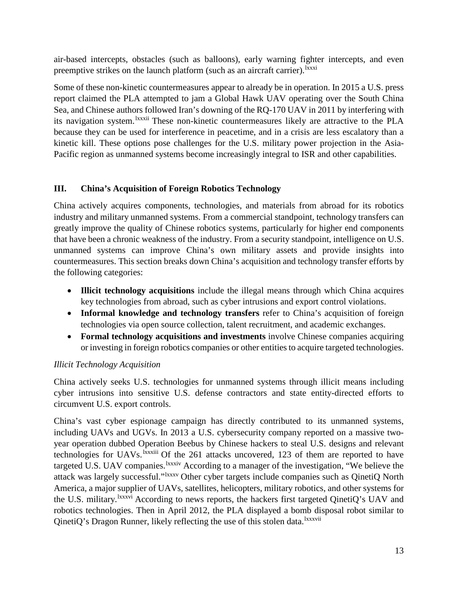air-based intercepts, obstacles (such as balloons), early warning fighter intercepts, and even preempt[i](#page-22-45)ve strikes on the launch platform (such as an aircraft carrier).<sup>1xxxi</sup>

Some of these non-kinetic countermeasures appear to already be in operation. In 2015 a U.S. press report claimed the PLA attempted to jam a Global Hawk UAV operating over the South China Sea, and Chinese authors f[o](#page-22-46)llowed Iran's downing of the RQ-170 UAV in 2011 by interfering with its navigation system.<sup>Ixxxii</sup> These non-kinetic countermeasures likely are attractive to the PLA because they can be used for interference in peacetime, and in a crisis are less escalatory than a kinetic kill. These options pose challenges for the U.S. military power projection in the Asia-Pacific region as unmanned systems become increasingly integral to ISR and other capabilities.

### **III. China's Acquisition of Foreign Robotics Technology**

China actively acquires components, technologies, and materials from abroad for its robotics industry and military unmanned systems. From a commercial standpoint, technology transfers can greatly improve the quality of Chinese robotics systems, particularly for higher end components that have been a chronic weakness of the industry. From a security standpoint, intelligence on U.S. unmanned systems can improve China's own military assets and provide insights into countermeasures. This section breaks down China's acquisition and technology transfer efforts by the following categories:

- **Illicit technology acquisitions** include the illegal means through which China acquires key technologies from abroad, such as cyber intrusions and export control violations.
- **Informal knowledge and technology transfers** refer to China's acquisition of foreign technologies via open source collection, talent recruitment, and academic exchanges.
- **Formal technology acquisitions and investments** involve Chinese companies acquiring or investing in foreign robotics companies or other entities to acquire targeted technologies.

### *Illicit Technology Acquisition*

China actively seeks U.S. technologies for unmanned systems through illicit means including cyber intrusions into sensitive U.S. defense contractors and state entity-directed efforts to circumvent U.S. export controls.

China's vast cyber espionage campaign has directly contributed to its unmanned systems, including UAVs and UGVs. In 2013 a U.S. cybersecurity company reported on a massive twoyear operation dubbed Operation Beebus by Chinese hackers to steal U.S. designs and relevant technologies for UAVs. <sup>Ixxxiii</sup> [O](#page-22-47)f the 261 attacks uncovered, 123 of them are reported to have targeted U.S. UAV companies. <sup>Ixxxi[v](#page-22-48)</sup> According to a manager of the investigation, "We believe the attack was largely successful." Nxxxv [O](#page-22-49)ther cyber targets include companies such as QinetiQ North the U.S. m[i](#page-22-50)litary. <sup>Ixxxvi</sup> According to news reports, the hackers first targeted QinetiQ's UAV and QinetiQ's Dragon Runner, likely reflecting the use of this stolen data. IXXXVii America, a major supplier of UAVs, satellites, helicopters, military robotics, and other systems for robotics technologies. Then in April 2012, the PLA displayed a bomb di[s](#page-22-51)posal robot similar to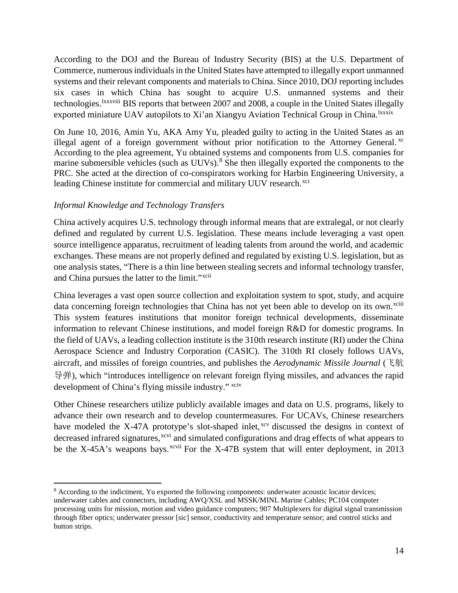According to the DOJ and the Bureau of Industry Security (BIS) at the U.S. Department of Commerce, numerous individuals in the United States have attempted to illegally export unmanned systems and their relevant components and materials to China. Since 2010, DOJ reporting includes six cases in w[hi](#page-22-52)ch China has sought to acquire U.S. unmanned systems and their technologies. <sup>Ixxxviii</sup> BIS reports that between 2007 and 2008, a couple in the United States illeg[al](#page-22-53)ly exported miniature UAV autopilots to Xi'an Xiangyu Aviation Technical Group in China. Ixxxix

On June 10, 2016, Amin Yu, AKA Amy Yu, pleaded guilty to acting in the United States as an illegal agent of a foreign government without prior notification to the Attorney General.  $\alpha$ According to the plea agreement, Yu obtained systems and components from U.S. companies for marine submersible vehicles (such as UUVs).<sup>[8](#page-13-0)</sup> She then illegally exported the components to the PRC. She acted at the direction of co-conspirators working for Harbin Engineering University, a leading Chinese institute for commercial and military UUV research. XCi

### *Informal Knowledge and Technology Transfers*

China actively acquires U.S. technology through informal means that are extralegal, or not clearly defined and regulated by current U.S. legislation. These means include leveraging a vast open source intelligence apparatus, recruitment of leading talents from around the world, and academic exchanges. These means are not properly defined and regulated by existing U.S. legislation, but as one analysis states, "There is a thin line between stealing secrets and informal technology transfer, and China pursues the latter to the limit."<sup>[xcii](#page-22-56)</sup>

China leverages a vast open source collection and exploitation system to spot, study, and acquire data concerning foreign technologies that China has not yet been able to develop on its own.<sup>xciii</sup> This system features institutions that monitor foreign technical developments, disseminate information to relevant Chinese institutions, and model foreign R&D for domestic programs. In the field of UAVs, a leading collection institute is the 310th research institute (RI) under the China Aerospace Science and Industry Corporation (CASIC). The 310th RI closely follows UAVs, aircraft, and missiles of foreign countries, and publishes the *Aerodynamic Missile Journal* (飞航 导弹), which "introduces intelligence on relevant foreign flying missiles, and advances the rapid development of China's flying missile industry." [xciv](#page-22-57)

Other Chinese researchers utilize publicly available images and data on U.S. programs, likely to advance their own research and to develop countermeasures. For UCAVs, Chinese researchers have modeled the X-47A prototype's slot-shaped inlet,<sup>[xcv](#page-22-58)</sup> discussed the designs in context of be the X-45A's weapons bays.  $x$ <sup>cvii</sup> For the X-47B system that will enter deployment, in 2013 decreased infrared signatures,<sup>[xcvi](#page-22-59)</sup> and simulated configurations and drag effects of what appears to

<span id="page-13-0"></span> <sup>8</sup> According to the indictment, Yu exported the following components: underwater acoustic locator devices; underwater cables and connectors, including AWQ/XSL and MSSK/MINL Marine Cables; PC104 computer processing units for mission, motion and video guidance computers; 907 Multiplexers for digital signal transmission through fiber optics; underwater pressor [sic] sensor, conductivity and temperature sensor; and control sticks and button strips.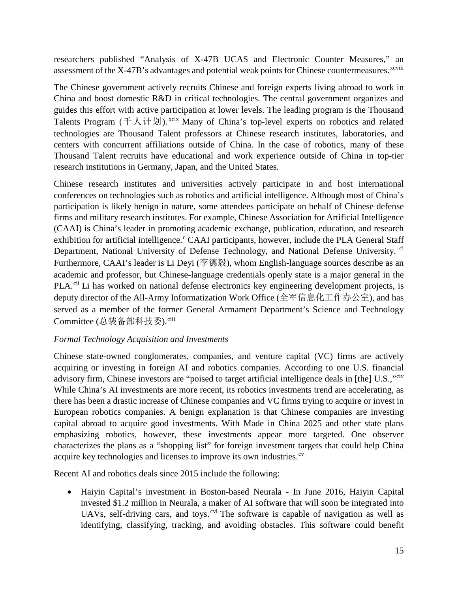researchers published "Analysis of X-47B UCAS and Electronic Counter Measures," an assessment of the X-47B's advantages and potential weak points for Chinese countermeasures.<sup>xcviii</sup>

The Chinese government actively recruits Chinese and foreign experts living abroad to work in China and boost domestic R&D in critical technologies. The central government organizes and guides this effort with active participation at lower levels. The leading program is the Thousand Talents Program  $( +\lambda + \frac{1}{2})$ . [xcix](#page-22-60) Many of China's top-level experts on robotics and related technologies are Thousand Talent professors at Chinese research institutes, laboratories, and centers with concurrent affiliations outside of China. In the case of robotics, many of these Thousand Talent recruits have educational and work experience outside of China in top-tier research institutions in Germany, Japan, and the United States.

Chinese research institutes and universities actively participate in and host international conferences on technologies such as robotics and artificial intelligence. Although most of China's participation is likely benign in nature, some attendees participate on behalf of Chinese defense firms and military research institutes. For example, Chinese Association for Artificial Intelligence (CAAI) is China's leader in promoting academic exchange, publication, education, and research exhibition for artifi[c](#page-22-41)ial intelligence.<sup>c</sup> CAAI participants, however, include the PLA General Staff Department, National University of Defense Technology, and National Defense University. <sup>[ci](#page-22-8)</sup> Furthermore, CAAI's leader is Li Deyi (李德毅), whom English-language sources describe as an academic and professor, but Chinese-language credentials openly state is a major general in the PLA.<sup>[cii](#page-22-43)</sup> Li has worked on national defense electronics key engineering development projects, is deputy director of the All-Army Informatization Work Office (全军信息化工作办公室), and has served as a member of the former General Armament Department's Science and Technology Committee (总装备部科技委).[ciii](#page-22-61)

### *Formal Technology Acquisition and Investments*

Chinese state-owned conglomerates, companies, and venture capital (VC) firms are actively acquiring or investing in foreign AI and robotics companies. According to one U.S. financial advisory firm, Chinese investors are "poised to target artificial intelligence deals in [the] U.S.,"[civ](#page-22-62) While China's AI investments are more recent, its robotics investments trend are accelerating, as there has been a drastic increase of Chinese companies and VC firms trying to acquire or invest in European robotics companies. A benign explanation is that Chinese companies are investing capital abroad to acquire good investments. With Made in China 2025 and other state plans emphasizing robotics, however, these investments appear more targeted. One observer characterizes the plans as a "shopping list" for foreign investment targets that could help China acquire key technologies and licenses to improve its own industries.<sup>[cv](#page-22-63)</sup>

Recent AI and robotics deals since 2015 include the following:

• Haiyin Capital's investment in Boston-based Neurala - In June 2016, Haiyin Capital invested \$1.2 million in Neurala, a maker of AI software that will soon be integrated into UAVs, self-driving cars, and toys.<sup>[cvi](#page-22-64)</sup> The software is capable of navigation as well as identifying, classifying, tracking, and avoiding obstacles. This software could benefit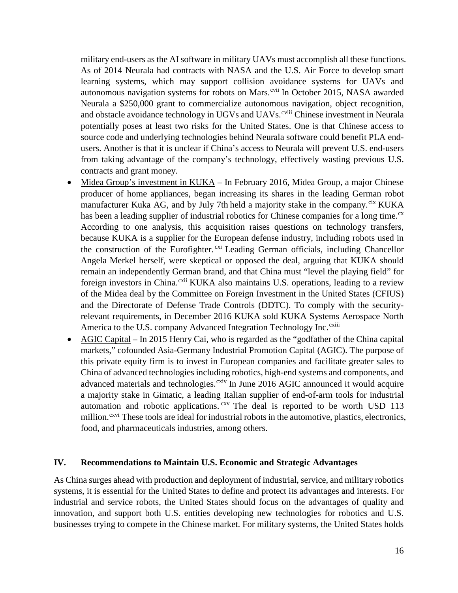military end-users as the AI software in military UAVs must accomplish all these functions. As of 2014 Neurala had contracts with NASA and the U.S. Air Force to develop smart learning systems, which may support collision avoidance systems for UAVs and autonomous navigation systems for robots on Mars.<sup>[cvii](#page-22-32)</sup> In October 2015, NASA awarded and obstacle avoidance technology in UGVs and UAVs. [C](#page-22-65)hinese investment in Neurala Neurala a \$250,000 grant to commercialize autonomous navigation, object recognition, potentially poses at least two risks for the United States. One is that Chinese access to source code and underlying technologies behind Neurala software could benefit PLA endusers. Another is that it is unclear if China's access to Neurala will prevent U.S. end-users from taking advantage of the company's technology, effectively wasting previous U.S. contracts and grant money.

- Midea Group's investment in KUKA In February 2016, Midea Group, a major Chinese producer of home appliances, began increasing its shares in the leading German robot manufacturer Kuka AG, and by July 7th held a majority stake in the company.<sup>[cix](#page-22-15)</sup> KUKA America to the U.S. company Advanced Integration Technology Inc. Cxiii has been a leading supplier of industrial robotics for Chinese companies for a long time. $\alpha$ According to one analysis, this acquisition raises questions on technology transfers, because KUKA is a supplier for the European defense industry, including robots used in the construction of the Eurofighter.<sup>[cxi](#page-22-67)</sup> Leading German officials, including Chancellor Angela Merkel herself, were skeptical or opposed the deal, arguing that KUKA should remain an independently German brand, and that China must "level the playing field" for foreign investors in China.<sup>[cxii](#page-22-68)</sup> KUKA also maintains U.S. operations, leading to a review of the Midea deal by the Committee on Foreign Investment in the United States (CFIUS) and the Directorate of Defense Trade Controls (DDTC). To comply with the securityrelevant requirements, in December 2016 KUKA sold KUKA Systems [A](#page-22-69)erospace North
- AGIC Capital In 2015 Henry Cai, who is regarded as the "godfather of the China capital markets," cofounded Asia-Germany Industrial Promotion Capital (AGIC). The purpose of this private equity firm is to invest in European companies and facilitate greater sales to China of advanced technologies including robotics, high-end systems and components, and advanced materials and technologies.<sup>[cxiv](#page-22-70)</sup> In June 2016 AGIC announced it would acquire a majority stake in Gimatic, a leading Italian supplier of end-of-arm tools for industrial automation and robotic applications.  $cxy$  The deal is reported to be worth USD 113 million.<sup>[cxvi](#page-22-72)</sup> These tools are ideal for industrial robots in the automotive, plastics, electronics, food, and pharmaceuticals industries, among others.

#### **IV. Recommendations to Maintain U.S. Economic and Strategic Advantages**

As China surges ahead with production and deployment of industrial, service, and military robotics systems, it is essential for the United States to define and protect its advantages and interests. For industrial and service robots, the United States should focus on the advantages of quality and innovation, and support both U.S. entities developing new technologies for robotics and U.S. businesses trying to compete in the Chinese market. For military systems, the United States holds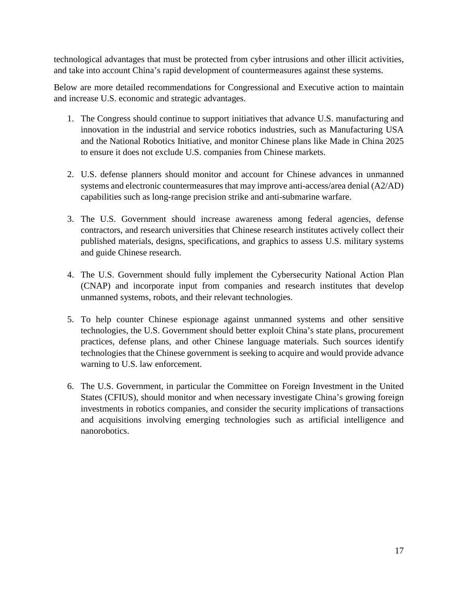technological advantages that must be protected from cyber intrusions and other illicit activities, and take into account China's rapid development of countermeasures against these systems.

Below are more detailed recommendations for Congressional and Executive action to maintain and increase U.S. economic and strategic advantages.

- 1. The Congress should continue to support initiatives that advance U.S. manufacturing and innovation in the industrial and service robotics industries, such as Manufacturing USA and the National Robotics Initiative, and monitor Chinese plans like Made in China 2025 to ensure it does not exclude U.S. companies from Chinese markets.
- 2. U.S. defense planners should monitor and account for Chinese advances in unmanned systems and electronic countermeasures that may improve anti-access/area denial (A2/AD) capabilities such as long-range precision strike and anti-submarine warfare.
- 3. The U.S. Government should increase awareness among federal agencies, defense contractors, and research universities that Chinese research institutes actively collect their published materials, designs, specifications, and graphics to assess U.S. military systems and guide Chinese research.
- 4. The U.S. Government should fully implement the Cybersecurity National Action Plan (CNAP) and incorporate input from companies and research institutes that develop unmanned systems, robots, and their relevant technologies.
- 5. To help counter Chinese espionage against unmanned systems and other sensitive technologies, the U.S. Government should better exploit China's state plans, procurement practices, defense plans, and other Chinese language materials. Such sources identify technologies that the Chinese government is seeking to acquire and would provide advance warning to U.S. law enforcement.
- 6. The U.S. Government, in particular the Committee on Foreign Investment in the United States (CFIUS), should monitor and when necessary investigate China's growing foreign investments in robotics companies, and consider the security implications of transactions and acquisitions involving emerging technologies such as artificial intelligence and nanorobotics.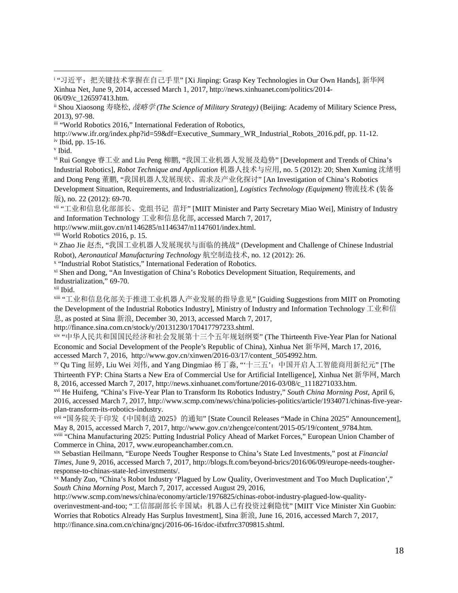<span id="page-17-2"></span>iii "World Robotics 2016," International Federation of Robotics,

http://www.ifr.org/index.php?id=59&df=Executive\_Summary\_WR\_Industrial\_Robots\_2016.pdf, pp. 11-12.

<span id="page-17-3"></span>iv Ibid, pp. 15-16.

<sup>v</sup> Ibid.

 $\overline{a}$ 

vi Rui Gongye 睿工业 and Liu Peng 柳鹏, "我国工业机器人发展及趋势" [Development and Trends of China's Industrial Robotics], *Robot Technique and Application* 机器人技术与应用, no. 5 (2012): 20; Shen Xuming 沈绪明 and Dong Peng 董鹏, "我国机器人发展现状、需求及产业化探讨" [An Investigation of China's Robotics Development Situation, Requirements, and Industrialization], *Logistics Technology (Equipment)* 物流技术 (装备 版), no. 22 (2012): 69-70.

vii "工业和信息化部部长、党组书记 苗圩" [MIIT Minister and Party Secretary Miao Wei], Ministry of Industry and Information Technology 工业和信息化部, accessed March 7, 2017,

http://www.miit.gov.cn/n1146285/n1146347/n1147601/index.html.

viii World Robotics 2016, p. 15.

ix Zhao Jie 赵杰, "我国工业机器人发展现状与面临的挑战" (Development and Challenge of Chinese Industrial Robot), *Aeronautical Manufacturing Technology* 航空制造技术, no. 12 (2012): 26.

<sup>x</sup> "Industrial Robot Statistics," International Federation of Robotics.

xi Shen and Dong, "An Investigation of China's Robotics Development Situation, Requirements, and Industrialization," 69-70.

xii Ibid.

xiii "工业和信息化部关于推进工业机器人产业发展的指导意见" [Guiding Suggestions from MIIT on Promoting the Development of the Industrial Robotics Industry], Ministry of Industry and Information Technology 工业和信 息, as posted at Sina 新浪, December 30, 2013, accessed March 7, 2017,

http://finance.sina.com.cn/stock/y/20131230/170417797233.shtml.

xiv "中华人民共和国国民经济和社会发展第十三个五年规划纲要" (The Thirteenth Five-Year Plan for National Economic and Social Development of the People's Republic of China), Xinhua Net 新华网, March 17, 2016, accessed March 7, 2016, http://www.gov.cn/xinwen/2016-03/17/content\_5054992.htm.

xv Qu Ting 屈婷, Liu Wei 刘伟, and Yang Dingmiao 杨丁淼, "'十三五': 中国开启人工智能商用新纪元" [The Thirteenth FYP: China Starts a New Era of Commercial Use for Artificial Intelligence], Xinhua Net 新华网, March 8, 2016, accessed March 7, 2017, http://news.xinhuanet.com/fortune/2016-03/08/c\_1118271033.htm.

xvi He Huifeng, "China's Five-Year Plan to Transform Its Robotics Industry," *South China Morning Post,* April 6, 2016, accessed March 7, 2017, http://www.scmp.com/news/china/policies-politics/article/1934071/chinas-five-yearplan-transform-its-robotics-industry.

xvii "国务院关于印发《中国制造 2025》的通知" [State Council Releases "Made in China 2025" Announcement], May 8, 2015, accessed March 7, 2017, http://www.gov.cn/zhengce/content/2015-05/19/content\_9784.htm. xviii "China Manufacturing 2025: Putting Industrial Policy Ahead of Market Forces," European Union Chamber of

Commerce in China, 2017, www.europeanchamber.com.cn.

xix Sebastian Heilmann, "Europe Needs Tougher Response to China's State Led Investments," post at *Financial Times*, June 9, 2016, accessed March 7, 2017, http://blogs.ft.com/beyond-brics/2016/06/09/europe-needs-tougherresponse-to-chinas-state-led-investments/.

xx Mandy Zuo, "China's Robot Industry 'Plagued by Low Quality, Overinvestment and Too Much Duplication'," *South China Morning Post*, March 7, 2017, accessed August 29, 2016,

http://www.scmp.com/news/china/economy/article/1976825/chinas-robot-industry-plagued-low-qualityoverinvestment-and-too; "工信部副部长辛国斌:机器人已有投资过剩隐忧" [MIIT Vice Minister Xin Guobin: Worries that Robotics Already Has Surplus Investment], Sina 新浪, June 16, 2016, accessed March 7, 2017, http://finance.sina.com.cn/china/gncj/2016-06-16/doc-ifxtfrrc3709815.shtml.

<span id="page-17-0"></span><sup>&</sup>lt;sup>i</sup> "习近平: 把关键技术掌握在自己手里" [Xi Jinping: Grasp Key Technologies in Our Own Hands], 新华网 Xinhua Net, June 9, 2014, accessed March 1, 2017, http://news.xinhuanet.com/politics/2014- 06/09/c\_126597413.htm.

<span id="page-17-1"></span>ii Shou Xiaosong 寿晓松, 战略学 *(The Science of Military Strategy)* (Beijing: Academy of Military Science Press, 2013), 97-98.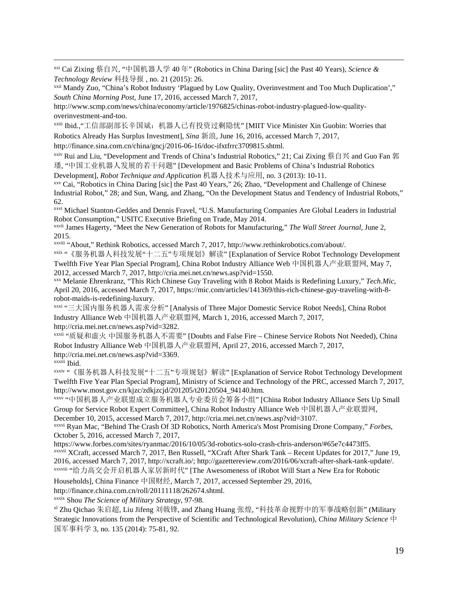xxi Cai Zixing 蔡自兴, "中国机器人学 <sup>40</sup> <sup>年</sup>" (Robotics in China Daring [sic] the Past 40 Years), *Science & Technology Review* 科技导报 , no. 21 (2015): 26.

xxii Mandy Zuo, "China's Robot Industry 'Plagued by Low Quality, Overinvestment and Too Much Duplication'," *South China Morning Post*, June 17, 2016, accessed March 7, 2017,

http://www.scmp.com/news/china/economy/article/1976825/chinas-robot-industry-plagued-low-qualityoverinvestment-and-too.

xxiii Ibid.,"工信部副部长辛国斌:机器人已有投资过剩隐忧" [MIIT Vice Minister Xin Guobin: Worries that

Robotics Already Has Surplus Investment], *Sina* 新浪, June 16, 2016, accessed March 7, 2017,

<span id="page-18-0"></span>http://finance.sina.com.cn/china/gncj/2016-06-16/doc-ifxtfrrc3709815.shtml.

<span id="page-18-1"></span>xxiv Rui and Liu, "Development and Trends of China's Industrial Robotics," 21; Cai Zixing 蔡自兴 and Guo Fan 郭 璠, "中国工业机器人发展的若干问题" [Development and Basic Problems of China's Industrial Robotics

Development], *Robot Technique and Application* 机器人技术与应用, no. 3 (2013): 10-11.

xxv Cai, "Robotics in China Daring [sic] the Past 40 Years," 26; Zhao, "Development and Challenge of Chinese Industrial Robot," 28; and Sun, Wang, and Zhang, "On the Development Status and Tendency of Industrial Robots," 62.

<span id="page-18-2"></span>xxvi Michael Stanton-Geddes and Dennis Fravel, "U.S. Manufacturing Companies Are Global Leaders in Industrial Robot Consumption," USITC Executive Briefing on Trade, May 2014.

<span id="page-18-3"></span>xxvii James Hagerty, "Meet the New Generation of Robots for Manufacturing," *The Wall Street Journal*, June 2, 2015.

<span id="page-18-4"></span>xxviii "About," Rethink Robotics, accessed March 7, 2017, http://www.rethinkrobotics.com/about/.

<span id="page-18-5"></span>xxix "《服务机器人科技发展"十二五"专项规划》解读" [Explanation of Service Robot Technology Development Twelfth Five Year Plan Special Program], China Robot Industry Alliance Web 中国机器人产业联盟网, May 7, 2012, accessed March 7, 2017, http://cria.mei.net.cn/news.asp?vid=1550.

<span id="page-18-7"></span><span id="page-18-6"></span>xxx Melanie Ehrenkranz, "This Rich Chinese Guy Traveling with 8 Robot Maids is Redefining Luxury," *Tech.Mic,* April 20, 2016, accessed March 7, 2017, https://mic.com/articles/141369/this-rich-chinese-guy-traveling-with-8 robot-maids-is-redefining-luxury.

xxxi "三大国内服务机器人需求分析" [Analysis of Three Major Domestic Service Robot Needs], China Robot Industry Alliance Web 中国机器人产业联盟网, March 1, 2016, accessed March 7, 2017, http://cria.mei.net.cn/news.asp?vid=3282.

xxxii "质疑和虚火 中国服务机器人不需要" [Doubts and False Fire – Chinese Service Robots Not Needed), China Robot Industry Alliance Web 中国机器人产业联盟网, April 27, 2016, accessed March 7, 2017, http://cria.mei.net.cn/news.asp?vid=3369.

xxxiii Ibid.

xxxiv "《服务机器人科技发展"十二五"专项规划》解读" [Explanation of Service Robot Technology Development Twelfth Five Year Plan Special Program], Ministry of Science and Technology of the PRC, accessed March 7, 2017, http://www.most.gov.cn/kjzc/zdkjzcjd/201205/t20120504\_94140.htm.

xxxv "中国机器人产业联盟成立服务机器人专业委员会筹备小组" [China Robot Industry Alliance Sets Up Small Group for Service Robot Expert Committee], China Robot Industry Alliance Web 中国机器人产业联盟网, December 10, 2015, accessed March 7, 2017, http://cria.mei.net.cn/news.asp?vid=3107.

xxxvi Ryan Mac, "Behind The Crash Of 3D Robotics, North America's Most Promising Drone Company," *Forbes*, October 5, 2016, accessed March 7, 2017,

https://www.forbes.com/sites/ryanmac/2016/10/05/3d-robotics-solo-crash-chris-anderson/#65e7c4473ff5. xxxvii XCraft, accessed March 7, 2017, Ben Russell, "XCraft After Shark Tank – Recent Updates for 2017," June 19, 2016, accessed March 7, 2017, http://xcraft.io/; http://gazettereview.com/2016/06/xcraft-after-shark-tank-update/. xxxviii "给力高交会开启机器人家居新时代" [The Awesomeness of iRobot Will Start a New Era for Robotic

Households], China Finance 中国财经, March 7, 2017, accessed September 29, 2016,

http://finance.china.com.cn/roll/20111118/262674.shtml.

xxxix Shou *The Science of Military Strategy*, 97-98.

xl Zhu Qichao 朱启超, Liu Jifeng 刘戟锋, and Zhang Huang 张煌, "科技革命视野中的军事战略创新" (Military Strategic Innovations from the Perspective of Scientific and Technological Revolution), *China Military Science* 中 国军事科学 3, no. 135 (2014): 75-81, 92.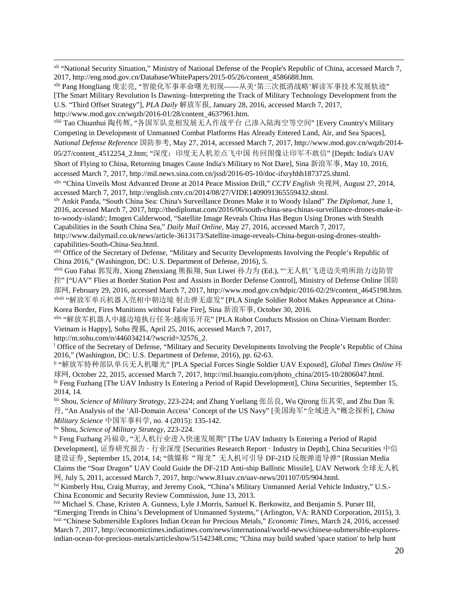xli "National Security Situation," Ministry of National Defense of the People's Republic of China, accessed March 7, 2017, http://eng.mod.gov.cn/Database/WhitePapers/2015-05/26/content\_4586688.htm.

xlii Pang Hongliang 庞宏亮, "智能化军事革命曙光初现——从美'第三次抵消战略'解读军事技术发展轨迹" [The Smart Military Revolution Is Dawning–Interpreting the Track of Military Technology Development from the U.S. "Third Offset Strategy"], *PLA Daily* 解放军报, January 28, 2016, accessed March 7, 2017, http://www.mod.gov.cn/wqzb/2016-01/28/content\_4637961.htm.<br><sup>xliii</sup> Tao Chuanhui 陶传辉, "各国军队竞相发展无人作战平台 已渗入陆海空等空间" [Every Country's Military

Competing in Development of Unmanned Combat Platforms Has Already Entered Land, Air, and Sea Spaces], *National Defense Reference* 国防参考, May 27, 2014, accessed March 7, 2017, http://www.mod.gov.cn/wqzb/2014- 05/27/content 4512254 2.htm; "深度: 印度无人机差点飞中国 传回图像让印军不敢信" [Depth: India's UAV

Short of Flying to China, Returning Images Cause India's Military to Not Dare], Sina 新浪军事, May 10, 2016, accessed March 7, 2017, http://mil.news.sina.com.cn/jssd/2016-05-10/doc-ifxryhhh1873725.shtml.

xliv "China Unveils Most Advanced Drone at 2014 Peace Mission Drill," *CCTV English* 央视网, August 27, 2014, accessed March 7, 2017, http://english.cntv.cn/2014/08/27/VIDE1409091365559432.shtml.

xlv Ankit Panda, "South China Sea: China's Surveillance Drones Make it to Woody Island" *The Diplomat*, June 1, 2016, accessed March 7, 2017, http://thediplomat.com/2016/06/south-china-sea-chinas-surveillance-drones-make-itto-woody-island/; Imogen Calderwood, "Satellite Image Reveals China Has Begun Using Drones with Stealth Capabilities in the South China Sea," *Daily Mail Online*, May 27, 2016, accessed March 7, 2017, http://www.dailymail.co.uk/news/article-3613173/Satellite-image-reveals-China-begun-using-drones-stealthcapabilities-South-China-Sea.html.

<sup>xlvi</sup> Office of the Secretary of Defense, "Military and Security Developments Involving the People's Republic of China 2016," (Washington, DC: U.S. Department of Defense, 2016), 5.

xlvii Guo Fahai 郭发海, Xiong Zhenxiang 熊振翔, Sun Liwei 孙力为 (Ed.), "'无人机'飞进边关哨所助力边防管 控" ["UAV" Flies at Border Station Post and Assists in Border Defense Control], Ministry of Defense Online 国防 部网, February 29, 2016, accessed March 7, 2017, http://www.mod.gov.cn/hdpic/2016-02/29/content\_4645198.htm. xlviii "解放军单兵机器人亮相中朝边境 射击弹无虚发" [PLA Single Soldier Robot Makes Appearance at China-Korea Border, Fires Munitions without False Fire], Sina 新浪军事, October 30, 2016.

<span id="page-19-0"></span>xlix "解放军机器人中越边境执行任务:越南乐开花" [PLA Robot Conducts Mission on China-Vietnam Border:

Vietnam is Happy], Sohu 搜狐, April 25, 2016, accessed March 7, 2017,

<span id="page-19-1"></span>http://m.sohu.com/n/446034214/?wscrid=32576\_2.

<sup>l</sup> Office of the Secretary of Defense, "Military and Security Developments Involving the People's Republic of China 2016," (Washington, DC: U.S. Department of Defense, 2016), pp. 62-63.

<span id="page-19-2"></span>li "解放军特种部队单兵无人机曝光" [PLA Special Forces Single Soldier UAV Exposed], *Global Times Online* 环 球网, October 22, 2015, accessed March 7, 2017, http://mil.huanqiu.com/photo\_china/2015-10/2806047.html.

lii Feng Fuzhang [The UAV Industry Is Entering a Period of Rapid Development], China Securities, September 15, 2014, 14.

<span id="page-19-3"></span>liii Shou, *Science of Military Strategy*, 223-224; and Zhang Yueliang 张岳良, Wu Qirong 伍其荣, and Zhu Dan 朱 丹, "An Analysis of the 'All-Domain Access' Concept of the US Navy" [美国海军"全域进入"概念探析], *China Military Science* 中国军事科学, no. 4 (2015): 135-142.

<span id="page-19-4"></span>liv Shou, *Science of Military Strategy*, 223-224.

<span id="page-19-6"></span><span id="page-19-5"></span>lv Feng Fuzhang 冯福章, "无人机行业进入快速发展期" [The UAV Industry Is Entering a Period of Rapid Development], 证券研究报告 · 行业深度 [Securities Research Report · Industry in Depth], China Securities 中信 建设证券、September 15, 2014, 14; "俄媒称"翔龙"无人机可引导 DF-21D 反舰弹道导弹" [Russian Media Claims the "Soar Dragon" UAV Could Guide the DF-21D Anti-ship Ballistic Missile], UAV Network 全球无人机 网, July 5, 2011, accessed March 7, 2017, http://www.81uav.cn/uav-news/201107/05/904.html.

lvi Kimberly Hsu, Craig Murray, and Jeremy Cook, "China's Military Unmanned Aerial Vehicle Industry," U.S.-China Economic and Security Review Commission, June 13, 2013.

lvii Michael S. Chase, Kristen A. Gunness, Lyle J.Morris, Samuel K. Berkowitz, and Benjamin S. Purser III, "Emerging Trends in China's Development of Unmanned Systems," (Arlington, VA: RAND Corporation, 2015), 3. lviii "Chinese Submersible Explores Indian Ocean for Precious Metals," *Economic Times*, March 24, 2016, accessed March 7, 2017, http://economictimes.indiatimes.com/news/international/world-news/chinese-submersible-exploresindian-ocean-for-precious-metals/articleshow/51542348.cms; "China may build seabed 'space station' to help hunt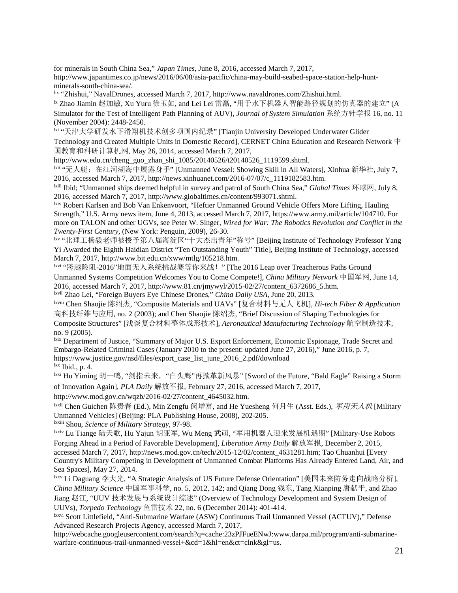<span id="page-20-1"></span>for minerals in South China Sea," *Japan Times*, June 8, 2016, accessed March 7, 2017,

http://www.japantimes.co.jp/news/2016/06/08/asia-pacific/china-may-build-seabed-space-station-help-huntminerals-south-china-sea/.

<span id="page-20-2"></span>lix "Zhishui," NavalDrones, accessed March 7, 2017, http://www.navaldrones.com/Zhishui.html.

lx Zhao Jiamin 赵加敏, Xu Yuru 徐玉如, and Lei Lei 雷磊, "用于水下机器人智能路径规划的仿真器的建立" (A Simulator for the Test of Intelligent Path Planning of AUV), *Journal of System Simulation* 系统方针学报 16, no. 11 (November 2004): 2448-2450.

<span id="page-20-3"></span>lxi "天津大学研发水下滑翔机技术创多项国内纪录" [Tianjin University Developed Underwater Glider Technology and Created Multiple Units in Domestic Record], CERNET China Education and Research Network 中 国教育和科研计算机网, May 26, 2014, accessed March 7, 2017,

<span id="page-20-4"></span>http://www.edu.cn/cheng\_guo\_zhan\_shi\_1085/20140526/t20140526\_1119599.shtml.

lxii "无人艇: 在江河湖海中展露身手" [Unmanned Vessel: Showing Skill in All Waters], Xinhua 新华社, July 7, 2016, accessed March 7, 2017, http://news.xinhuanet.com/2016-07/07/c\_1119182583.htm.

<span id="page-20-5"></span>lxiii Ibid; "Unmanned ships deemed helpful in survey and patrol of South China Sea," *Global Times* 环球网, July 8, 2016, accessed March 7, 2017, http://www.globaltimes.cn/content/993071.shtml.

<span id="page-20-6"></span>lxiv Robert Karlsen and Bob Van Enkenvoort, "Heftier Unmanned Ground Vehicle Offers More Lifting, Hauling Strength," U.S. Army news item, June 4, 2013, accessed March 7, 2017, https://www.army.mil/article/104710. For more on TALON and other UGVs, see Peter W. Singer, *Wired for War: The Robotics Revolution and Conflict in the Twenty-First Century*, (New York: Penguin, 2009), 26-30.

lxv "北理工杨毅老师被授予第八届海淀区"十大杰出青年"称号" [Beijing Institute of Technology Professor Yang Yi Awarded the Eighth Haidian District "Ten Outstanding Youth" Title], Beijing Institute of Technology, accessed March 7, 2017, http://www.bit.edu.cn/xww/mtlg/105218.htm.

lxvi "跨越险阻-2016"地面无人系统挑战赛等你来战!" [The 2016 Leap over Treacherous Paths Ground Unmanned Systems Competition Welcomes You to Come Compete!], *China Military Network* 中国军网, June 14, 2016, accessed March 7, 2017, http://www.81.cn/jmywyl/2015-02/27/content\_6372686\_5.htm. lxvii Zhao Lei, "Foreign Buyers Eye Chinese Drones," *China Daily USA*, June 20, 2013.

lxviii Chen Shaojie 陈绍杰, "Composite Materials and UAVs" [复合材料与无人飞机], *Hi-tech Fiber & Application* 高科技纤维与应用, no. 2 (2003); and Chen Shaojie 陈绍杰, "Brief Discussion of Shaping Technologies for Composite Structures" [浅谈复合材料整体成形技术], *Aeronautical Manufacturing Technology* 航空制造技术, no. 9 (2005).

lxix Department of Justice, "Summary of Major U.S. Export Enforcement, Economic Espionage, Trade Secret and Embargo-Related Criminal Cases (January 2010 to the present: updated June 27, 2016)," June 2016, p. 7, https://www.justice.gov/nsd/files/export\_case\_list\_june\_2016\_2.pdf/download  $\frac{dx}{dx}$  Ibid., p. 4.

lxxi Hu Yiming 胡一鸣, "剑指未来,"白头鹰"再掀革新风暴" [Sword of the Future, "Bald Eagle" Raising a Storm of Innovation Again], *PLA Daily* 解放军报, February 27, 2016, accessed March 7, 2017,

http://www.mod.gov.cn/wqzb/2016-02/27/content\_4645032.htm.

lxxii Chen Guichen 陈贵春 (Ed.), Min Zengfu 闵增富, and He Yuesheng 何月生 (Asst. Eds.), 军用无人机 [Military Unmanned Vehicles] (Beijing: PLA Publishing House, 2008), 202-205.

lxxiii Shou, *Science of Military Strategy*, 97-98.

lxxiv Lu Tiange 陆天歌, Hu Yajun 胡亚军, Wu Meng 武萌, "军用机器人迎来发展机遇期" [Military-Use Robots Forging Ahead in a Period of Favorable Development], *Liberation Army Daily* 解放军报, December 2, 2015, accessed March 7, 2017, http://news.mod.gov.cn/tech/2015-12/02/content\_4631281.htm; Tao Chuanhui [Every Country's Military Competing in Development of Unmanned Combat Platforms Has Already Entered Land, Air, and Sea Spaces], May 27, 2014.

<span id="page-20-0"></span>lxxv Li Daguang 李大光, "A Strategic Analysis of US Future Defense Orientation" [美国未来防务走向战略分析], *China Military Science* 中国军事科学, no. 5, 2012, 142; and Qiang Dong 钱东, Tang Xianping 唐献平, and Zhao Jiang 赵江, "UUV 技术发展与系统设计综述" (Overview of Technology Development and System Design of UUVs), *Torpedo Technology* 鱼雷技术 22, no. 6 (December 2014): 401-414.

lxxvi Scott Littlefield, "Anti-Submarine Warfare (ASW) Continuous Trail Unmanned Vessel (ACTUV)," Defense Advanced Research Projects Agency, accessed March 7, 2017,

http://webcache.googleusercontent.com/search?q=cache:23zPJFueENwJ:www.darpa.mil/program/anti-submarinewarfare-continuous-trail-unmanned-vessel+&cd=1&hl=en&ct=clnk&gl=us.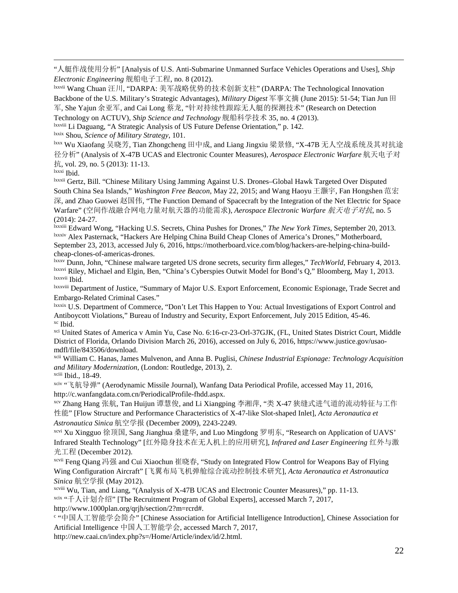"人艇作战使用分析" [Analysis of U.S. Anti-Submarine Unmanned Surface Vehicles Operations and Uses], *Ship Electronic Engineering* 舰船电子工程, no. 8 (2012).

lxxvii Wang Chuan 汪川, "DARPA: 美军战略优势的技术创新支柱" (DARPA: The Technological Innovation Backbone of the U.S. Military's Strategic Advantages), *Military Digest* 军事文摘 (June 2015): 51-54; Tian Jun 田 军, She Yajun 余亚军, and Cai Long 蔡龙, "针对持续性跟踪无人艇的探测技术" (Research on Detection Technology on ACTUV), *Ship Science and Technology* 舰船科学技术 35, no. 4 (2013).

lxxviii Li Daguang, "A Strategic Analysis of US Future Defense Orientation," p. 142.

lxxix Shou, *Science of Military Strategy*, 101.

lxxx Wu Xiaofang 吴晓芳, Tian Zhongcheng 田中成, and Liang Jingxiu 梁景修, "X-47B 无人空战系统及其对抗途 径分析" (Analysis of X-47B UCAS and Electronic Counter Measures), *Aerospace Electronic Warfare* 航天电子对 抗, vol. 29, no. 5 (2013): 11-13.

lxxxi Ibid.

 $\overline{a}$ 

lxxxii Gertz, Bill. "Chinese Military Using Jamming Against U.S. Drones–Global Hawk Targeted Over Disputed South China Sea Islands," *Washington Free Beacon*, May 22, 2015; and Wang Haoyu 王灏宇, Fan Hongshen 范宏 深, and Zhao Guowei 赵国伟, "The Function Demand of Spacecraft by the Integration of the Net Electric for Space Warfare" (空间作战融合网电力量对航天器的功能需求), *Aerospace Electronic Warfare* 航天电子对抗, no. 5 (2014): 24-27.

<span id="page-21-1"></span><span id="page-21-0"></span>lxxxiii Edward Wong, "Hacking U.S. Secrets, China Pushes for Drones," *The New York Times*, September 20, 2013. lxxxiv Alex Pasternack, "Hackers Are Helping China Build Cheap Clones of America's Drones," Motherboard, September 23, 2013, accessed July 6, 2016, https://motherboard.vice.com/blog/hackers-are-helping-china-buildcheap-clones-of-americas-drones.

<span id="page-21-2"></span>lxxxv Dunn, John, "Chinese malware targeted US drone secrets, security firm alleges," *TechWorld*, February 4, 2013. lxxxvi Riley, Michael and Elgin, Ben, "China's Cyberspies Outwit Model for Bond's Q," Bloomberg, May 1, 2013. lxxxvii Ibid.

<span id="page-21-3"></span>lxxxviii Department of Justice, "Summary of Major U.S. Export Enforcement, Economic Espionage, Trade Secret and Embargo-Related Criminal Cases."

<span id="page-21-4"></span>lxxxix U.S. Department of Commerce, "Don't Let This Happen to You: Actual Investigations of Export Control and Antiboycott Violations," Bureau of Industry and Security, Export Enforcement, July 2015 Edition, 45-46. xc Ibid.

xci United States of America v Amin Yu, Case No. 6:16-cr-23-Orl-37GJK, (FL, United States District Court, Middle District of Florida, Orlando Division March 26, 2016), accessed on July 6, 2016, https://www.justice.gov/usaomdfl/file/843506/download.

xcii William C. Hanas, James Mulvenon, and Anna B. Puglisi, *Chinese Industrial Espionage: Technology Acquisition and Military Modernization*, (London: Routledge, 2013), 2.

xciii Ibid., 18-49.

xciv "飞航导弹" (Aerodynamic Missile Journal), Wanfang Data Periodical Profile, accessed May 11, 2016, http://c.wanfangdata.com.cn/PeriodicalProfile-fhdd.aspx.

xcv Zhang Hang 张航, Tan Huijun 谭慧俊, and Li Xiangping 李湘萍, "类 X-47 狭缝式进气道的流动特征与工作 性能" [Flow Structure and Performance Characteristics of X-47-like Slot-shaped Inlet], *Acta Aeronautica et Astronautica Sinica* 航空学报 (December 2009), 2243-2249.

xcvi Xu Xingguo 徐顶国, Sang Jianghua 桑建华, and Luo Mingdong 罗明东, "Research on Application of UAVS' Infrared Stealth Technology" [红外隐身技术在无人机上的应用研究], *Infrared and Laser Engineering* 红外与激 光工程 (December 2012).

xcvii Feng Qiang 冯强 and Cui Xiaochun 崔晓春, "Study on Integrated Flow Control for Weapons Bay of Flying Wing Configuration Aircraft" [飞翼布局飞机弹舱综合流动控制技术研究], *Acta Aeronautica et Astronautica Sinica* 航空学报 (May 2012).

xcviii Wu, Tian, and Liang, "(Analysis of X-47B UCAS and Electronic Counter Measures)," pp. 11-13. xcix "千人计划介绍" [The Recruitment Program of Global Experts], accessed March 7, 2017, http://www.1000plan.org/qrjh/section/2?m=rcrd#.

<sup>c</sup> "中国人工智能学会简介" [Chinese Association for Artificial Intelligence Introduction], Chinese Association for Artificial Intelligence 中国人工智能学会, accessed March 7, 2017,

http://new.caai.cn/index.php?s=/Home/Article/index/id/2.html.